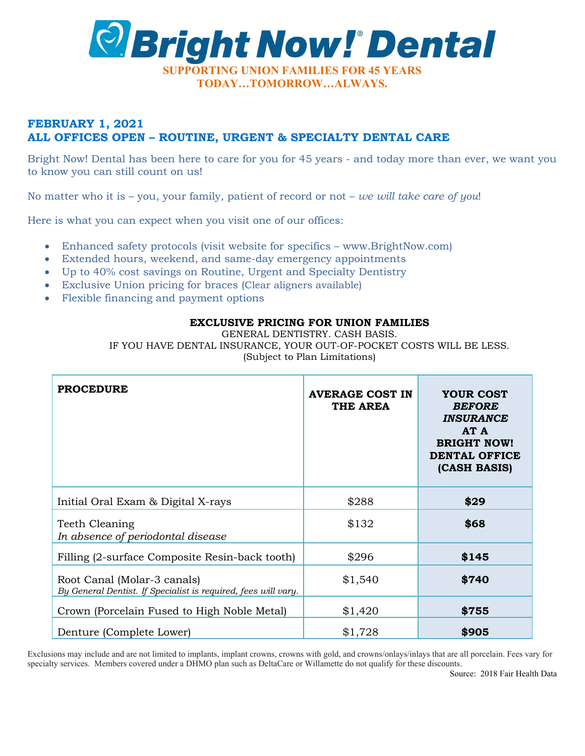

# **FEBRUARY 1, 2021 ALL OFFICES OPEN – ROUTINE, URGENT & SPECIALTY DENTAL CARE**

Bright Now! Dental has been here to care for you for 45 years - and today more than ever, we want you to know you can still count on us!

No matter who it is – you, your family, patient of record or not – *we will take care of you*!

Here is what you can expect when you visit one of our offices:

- Enhanced safety protocols (visit website for specifics www.BrightNow.com)
- Extended hours, weekend, and same-day emergency appointments
- Up to 40% cost savings on Routine, Urgent and Specialty Dentistry
- Exclusive Union pricing for braces (Clear aligners available)
- Flexible financing and payment options

#### **EXCLUSIVE PRICING FOR UNION FAMILIES**

GENERAL DENTISTRY. CASH BASIS.

IF YOU HAVE DENTAL INSURANCE, YOUR OUT-OF-POCKET COSTS WILL BE LESS. (Subject to Plan Limitations)

| <b>PROCEDURE</b>                                                                              | <b>AVERAGE COST IN</b><br>THE AREA | YOUR COST<br><b>BEFORE</b><br><b>INSURANCE</b><br>AT A<br><b>BRIGHT NOW!</b><br><b>DENTAL OFFICE</b><br>(CASH BASIS) |
|-----------------------------------------------------------------------------------------------|------------------------------------|----------------------------------------------------------------------------------------------------------------------|
| Initial Oral Exam & Digital X-rays                                                            | \$288                              | \$29                                                                                                                 |
| Teeth Cleaning<br>In absence of periodontal disease                                           | \$132                              | \$68                                                                                                                 |
| Filling (2-surface Composite Resin-back tooth)                                                | \$296                              | \$145                                                                                                                |
| Root Canal (Molar-3 canals)<br>By General Dentist. If Specialist is required, fees will vary. | \$1,540                            | \$740                                                                                                                |
| Crown (Porcelain Fused to High Noble Metal)                                                   | \$1,420                            | \$755                                                                                                                |
| Denture (Complete Lower)                                                                      | \$1,728                            | \$905                                                                                                                |

Exclusions may include and are not limited to implants, implant crowns, crowns with gold, and crowns/onlays/inlays that are all porcelain. Fees vary for specialty services. Members covered under a DHMO plan such as DeltaCare or Willamette do not qualify for these discounts.